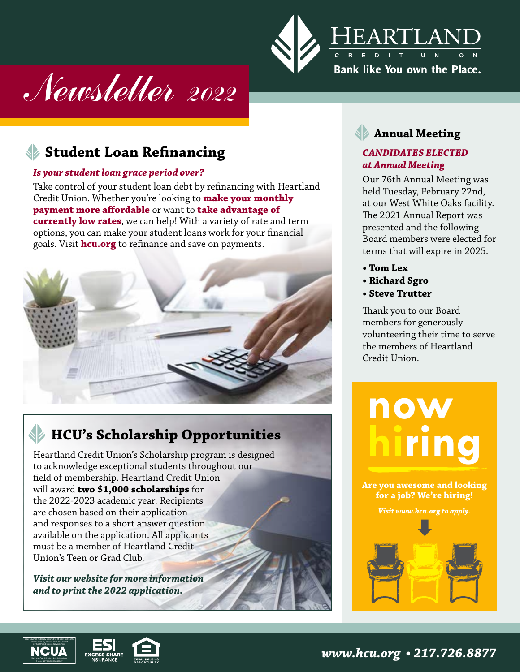

# Newsletter 2022

# **Student Loan Refinancing**

#### *Is your student loan grace period over?*

Take control of your student loan debt by refinancing with Heartland Credit Union. Whether you're looking to **make your monthly payment more affordable** or want to **take advantage of currently low rates**, we can help! With a variety of rate and term options, you can make your student loans work for your financial goals. Visit **hcu.org** to refinance and save on payments.



# **HCU's Scholarship Opportunities**

Heartland Credit Union's Scholarship program is designed to acknowledge exceptional students throughout our field of membership. Heartland Credit Union will award **two \$1,000 scholarships** for the 2022-2023 academic year. Recipients are chosen based on their application and responses to a short answer question available on the application. All applicants must be a member of Heartland Credit Union's Teen or Grad Club*.*

*Visit our website for more information and to print the 2022 application.*

### **Annual Meeting**

#### *CANDIDATES ELECTED at Annual Meeting*

Our 76th Annual Meeting was held Tuesday, February 22nd, at our West White Oaks facility. The 2021 Annual Report was presented and the following Board members were elected for terms that will expire in 2025.

- **Tom Lex**
- **Richard Sgro**
- **Steve Trutter**

Thank you to our Board members for generously volunteering their time to serve the members of Heartland Credit Union.



**Are you awesome and looking for a job? We're hiring!**

*Visit www.hcu.org to apply.* 





*www.hcu.org • 217.726.8877*